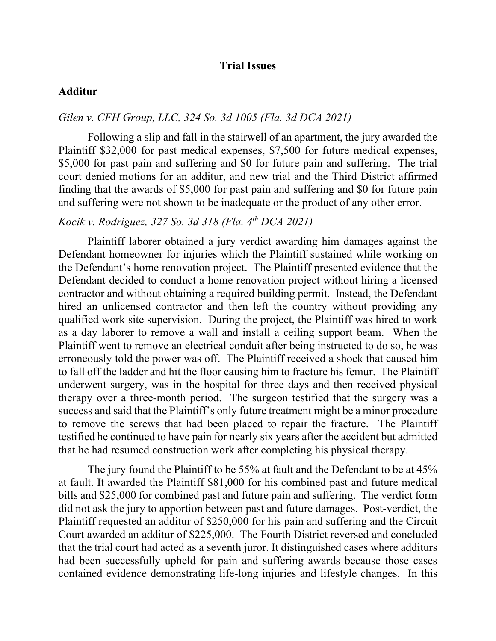## **Trial Issues**

### **Additur**

## *Gilen v. CFH Group, LLC, 324 So. 3d 1005 (Fla. 3d DCA 2021)*

Following a slip and fall in the stairwell of an apartment, the jury awarded the Plaintiff \$32,000 for past medical expenses, \$7,500 for future medical expenses, \$5,000 for past pain and suffering and \$0 for future pain and suffering. The trial court denied motions for an additur, and new trial and the Third District affirmed finding that the awards of \$5,000 for past pain and suffering and \$0 for future pain and suffering were not shown to be inadequate or the product of any other error.

## *Kocik v. Rodriguez, 327 So. 3d 318 (Fla. 4th DCA 2021)*

Plaintiff laborer obtained a jury verdict awarding him damages against the Defendant homeowner for injuries which the Plaintiff sustained while working on the Defendant's home renovation project. The Plaintiff presented evidence that the Defendant decided to conduct a home renovation project without hiring a licensed contractor and without obtaining a required building permit. Instead, the Defendant hired an unlicensed contractor and then left the country without providing any qualified work site supervision. During the project, the Plaintiff was hired to work as a day laborer to remove a wall and install a ceiling support beam. When the Plaintiff went to remove an electrical conduit after being instructed to do so, he was erroneously told the power was off. The Plaintiff received a shock that caused him to fall off the ladder and hit the floor causing him to fracture his femur. The Plaintiff underwent surgery, was in the hospital for three days and then received physical therapy over a three-month period. The surgeon testified that the surgery was a success and said that the Plaintiff's only future treatment might be a minor procedure to remove the screws that had been placed to repair the fracture. The Plaintiff testified he continued to have pain for nearly six years after the accident but admitted that he had resumed construction work after completing his physical therapy.

The jury found the Plaintiff to be 55% at fault and the Defendant to be at 45% at fault. It awarded the Plaintiff \$81,000 for his combined past and future medical bills and \$25,000 for combined past and future pain and suffering. The verdict form did not ask the jury to apportion between past and future damages. Post-verdict, the Plaintiff requested an additur of \$250,000 for his pain and suffering and the Circuit Court awarded an additur of \$225,000. The Fourth District reversed and concluded that the trial court had acted as a seventh juror. It distinguished cases where additurs had been successfully upheld for pain and suffering awards because those cases contained evidence demonstrating life-long injuries and lifestyle changes. In this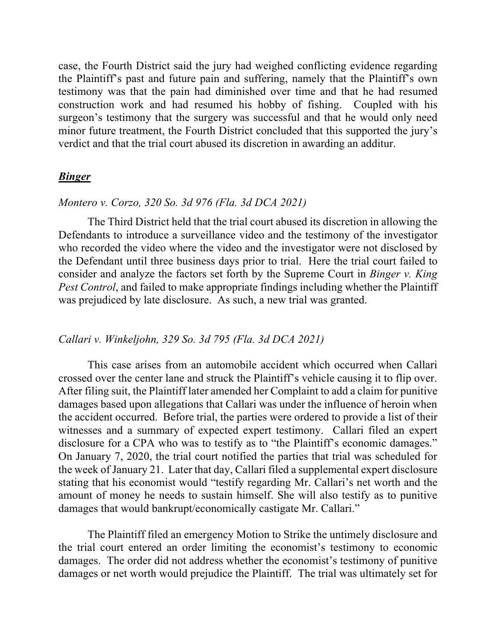case, the Fourth District said the jury had weighed conflicting evidence regarding the Plaintiff's past and future pain and suffering, namely that the Plaintiff's own testimony was that the pain had diminished over time and that he had resumed construction work and had resumed his hobby of fishing. Coupled with his surgeon's testimony that the surgery was successful and that he would only need minor future treatment, the Fourth District concluded that this supported the jury's verdict and that the trial court abused its discretion in awarding an additur.

### *Binger*

### *Montero v. Corzo, 320 So. 3d 976 (Fla. 3d DCA 2021)*

The Third District held that the trial court abused its discretion in allowing the Defendants to introduce a surveillance video and the testimony of the investigator who recorded the video where the video and the investigator were not disclosed by the Defendant until three business days prior to trial. Here the trial court failed to consider and analyze the factors set forth by the Supreme Court in *Binger v. King Pest Control*, and failed to make appropriate findings including whether the Plaintiff was prejudiced by late disclosure. As such, a new trial was granted.

## *Callari v. Winkeljohn, 329 So. 3d 795 (Fla. 3d DCA 2021)*

This case arises from an automobile accident which occurred when Callari crossed over the center lane and struck the Plaintiff's vehicle causing it to flip over. After filing suit, the Plaintiff later amended her Complaint to add a claim for punitive damages based upon allegations that Callari was under the influence of heroin when the accident occurred. Before trial, the parties were ordered to provide a list of their witnesses and a summary of expected expert testimony. Callari filed an expert disclosure for a CPA who was to testify as to "the Plaintiff's economic damages." On January 7, 2020, the trial court notified the parties that trial was scheduled for the week of January 21. Later that day, Callari filed a supplemental expert disclosure stating that his economist would "testify regarding Mr. Callari's net worth and the amount of money he needs to sustain himself. She will also testify as to punitive damages that would bankrupt/economically castigate Mr. Callari."

The Plaintiff filed an emergency Motion to Strike the untimely disclosure and the trial court entered an order limiting the economist's testimony to economic damages. The order did not address whether the economist's testimony of punitive damages or net worth would prejudice the Plaintiff. The trial was ultimately set for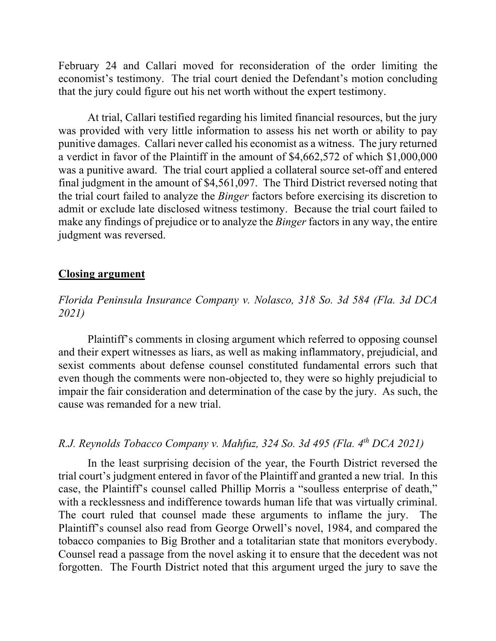February 24 and Callari moved for reconsideration of the order limiting the economist's testimony. The trial court denied the Defendant's motion concluding that the jury could figure out his net worth without the expert testimony.

At trial, Callari testified regarding his limited financial resources, but the jury was provided with very little information to assess his net worth or ability to pay punitive damages. Callari never called his economist as a witness. The jury returned a verdict in favor of the Plaintiff in the amount of \$4,662,572 of which \$1,000,000 was a punitive award. The trial court applied a collateral source set-off and entered final judgment in the amount of \$4,561,097. The Third District reversed noting that the trial court failed to analyze the *Binger* factors before exercising its discretion to admit or exclude late disclosed witness testimony. Because the trial court failed to make any findings of prejudice or to analyze the *Binger* factors in any way, the entire judgment was reversed.

#### **Closing argument**

## *Florida Peninsula Insurance Company v. Nolasco, 318 So. 3d 584 (Fla. 3d DCA 2021)*

Plaintiff's comments in closing argument which referred to opposing counsel and their expert witnesses as liars, as well as making inflammatory, prejudicial, and sexist comments about defense counsel constituted fundamental errors such that even though the comments were non-objected to, they were so highly prejudicial to impair the fair consideration and determination of the case by the jury. As such, the cause was remanded for a new trial.

## *R.J. Reynolds Tobacco Company v. Mahfuz, 324 So. 3d 495 (Fla. 4th DCA 2021)*

In the least surprising decision of the year, the Fourth District reversed the trial court's judgment entered in favor of the Plaintiff and granted a new trial. In this case, the Plaintiff's counsel called Phillip Morris a "soulless enterprise of death," with a recklessness and indifference towards human life that was virtually criminal. The court ruled that counsel made these arguments to inflame the jury. The Plaintiff's counsel also read from George Orwell's novel, 1984, and compared the tobacco companies to Big Brother and a totalitarian state that monitors everybody. Counsel read a passage from the novel asking it to ensure that the decedent was not forgotten. The Fourth District noted that this argument urged the jury to save the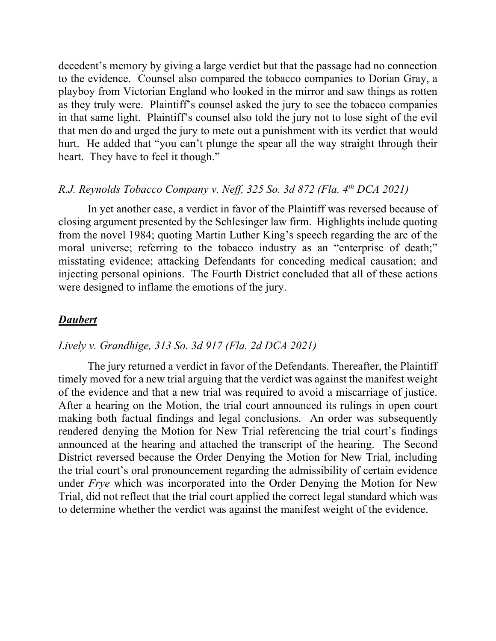decedent's memory by giving a large verdict but that the passage had no connection to the evidence. Counsel also compared the tobacco companies to Dorian Gray, a playboy from Victorian England who looked in the mirror and saw things as rotten as they truly were. Plaintiff's counsel asked the jury to see the tobacco companies in that same light. Plaintiff's counsel also told the jury not to lose sight of the evil that men do and urged the jury to mete out a punishment with its verdict that would hurt. He added that "you can't plunge the spear all the way straight through their heart. They have to feel it though."

# *R.J. Reynolds Tobacco Company v. Neff, 325 So. 3d 872 (Fla. 4th DCA 2021)*

In yet another case, a verdict in favor of the Plaintiff was reversed because of closing argument presented by the Schlesinger law firm. Highlights include quoting from the novel 1984; quoting Martin Luther King's speech regarding the arc of the moral universe; referring to the tobacco industry as an "enterprise of death;" misstating evidence; attacking Defendants for conceding medical causation; and injecting personal opinions. The Fourth District concluded that all of these actions were designed to inflame the emotions of the jury.

### *Daubert*

### *Lively v. Grandhige, 313 So. 3d 917 (Fla. 2d DCA 2021)*

The jury returned a verdict in favor of the Defendants. Thereafter, the Plaintiff timely moved for a new trial arguing that the verdict was against the manifest weight of the evidence and that a new trial was required to avoid a miscarriage of justice. After a hearing on the Motion, the trial court announced its rulings in open court making both factual findings and legal conclusions. An order was subsequently rendered denying the Motion for New Trial referencing the trial court's findings announced at the hearing and attached the transcript of the hearing. The Second District reversed because the Order Denying the Motion for New Trial, including the trial court's oral pronouncement regarding the admissibility of certain evidence under *Frye* which was incorporated into the Order Denying the Motion for New Trial, did not reflect that the trial court applied the correct legal standard which was to determine whether the verdict was against the manifest weight of the evidence.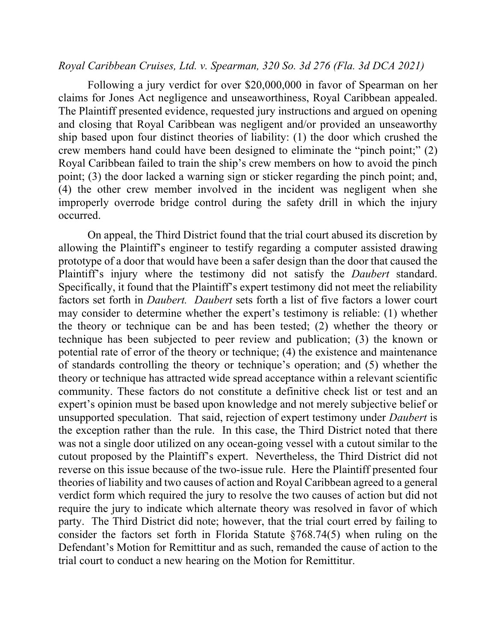### *Royal Caribbean Cruises, Ltd. v. Spearman, 320 So. 3d 276 (Fla. 3d DCA 2021)*

Following a jury verdict for over \$20,000,000 in favor of Spearman on her claims for Jones Act negligence and unseaworthiness, Royal Caribbean appealed. The Plaintiff presented evidence, requested jury instructions and argued on opening and closing that Royal Caribbean was negligent and/or provided an unseaworthy ship based upon four distinct theories of liability: (1) the door which crushed the crew members hand could have been designed to eliminate the "pinch point;" (2) Royal Caribbean failed to train the ship's crew members on how to avoid the pinch point; (3) the door lacked a warning sign or sticker regarding the pinch point; and, (4) the other crew member involved in the incident was negligent when she improperly overrode bridge control during the safety drill in which the injury occurred.

On appeal, the Third District found that the trial court abused its discretion by allowing the Plaintiff's engineer to testify regarding a computer assisted drawing prototype of a door that would have been a safer design than the door that caused the Plaintiff's injury where the testimony did not satisfy the *Daubert* standard. Specifically, it found that the Plaintiff's expert testimony did not meet the reliability factors set forth in *Daubert. Daubert* sets forth a list of five factors a lower court may consider to determine whether the expert's testimony is reliable: (1) whether the theory or technique can be and has been tested; (2) whether the theory or technique has been subjected to peer review and publication; (3) the known or potential rate of error of the theory or technique; (4) the existence and maintenance of standards controlling the theory or technique's operation; and (5) whether the theory or technique has attracted wide spread acceptance within a relevant scientific community. These factors do not constitute a definitive check list or test and an expert's opinion must be based upon knowledge and not merely subjective belief or unsupported speculation. That said, rejection of expert testimony under *Daubert* is the exception rather than the rule. In this case, the Third District noted that there was not a single door utilized on any ocean-going vessel with a cutout similar to the cutout proposed by the Plaintiff's expert. Nevertheless, the Third District did not reverse on this issue because of the two-issue rule. Here the Plaintiff presented four theories of liability and two causes of action and Royal Caribbean agreed to a general verdict form which required the jury to resolve the two causes of action but did not require the jury to indicate which alternate theory was resolved in favor of which party. The Third District did note; however, that the trial court erred by failing to consider the factors set forth in Florida Statute §768.74(5) when ruling on the Defendant's Motion for Remittitur and as such, remanded the cause of action to the trial court to conduct a new hearing on the Motion for Remittitur.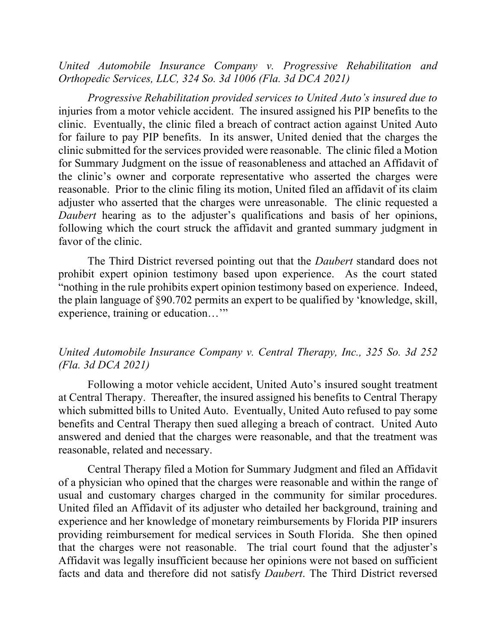*United Automobile Insurance Company v. Progressive Rehabilitation and Orthopedic Services, LLC, 324 So. 3d 1006 (Fla. 3d DCA 2021)*

*Progressive Rehabilitation provided services to United Auto's insured due to*  injuries from a motor vehicle accident. The insured assigned his PIP benefits to the clinic. Eventually, the clinic filed a breach of contract action against United Auto for failure to pay PIP benefits. In its answer, United denied that the charges the clinic submitted for the services provided were reasonable. The clinic filed a Motion for Summary Judgment on the issue of reasonableness and attached an Affidavit of the clinic's owner and corporate representative who asserted the charges were reasonable. Prior to the clinic filing its motion, United filed an affidavit of its claim adjuster who asserted that the charges were unreasonable. The clinic requested a *Daubert* hearing as to the adjuster's qualifications and basis of her opinions, following which the court struck the affidavit and granted summary judgment in favor of the clinic.

The Third District reversed pointing out that the *Daubert* standard does not prohibit expert opinion testimony based upon experience. As the court stated "nothing in the rule prohibits expert opinion testimony based on experience. Indeed, the plain language of §90.702 permits an expert to be qualified by 'knowledge, skill, experience, training or education…'"

## *United Automobile Insurance Company v. Central Therapy, Inc., 325 So. 3d 252 (Fla. 3d DCA 2021)*

Following a motor vehicle accident, United Auto's insured sought treatment at Central Therapy. Thereafter, the insured assigned his benefits to Central Therapy which submitted bills to United Auto. Eventually, United Auto refused to pay some benefits and Central Therapy then sued alleging a breach of contract. United Auto answered and denied that the charges were reasonable, and that the treatment was reasonable, related and necessary.

Central Therapy filed a Motion for Summary Judgment and filed an Affidavit of a physician who opined that the charges were reasonable and within the range of usual and customary charges charged in the community for similar procedures. United filed an Affidavit of its adjuster who detailed her background, training and experience and her knowledge of monetary reimbursements by Florida PIP insurers providing reimbursement for medical services in South Florida. She then opined that the charges were not reasonable. The trial court found that the adjuster's Affidavit was legally insufficient because her opinions were not based on sufficient facts and data and therefore did not satisfy *Daubert*. The Third District reversed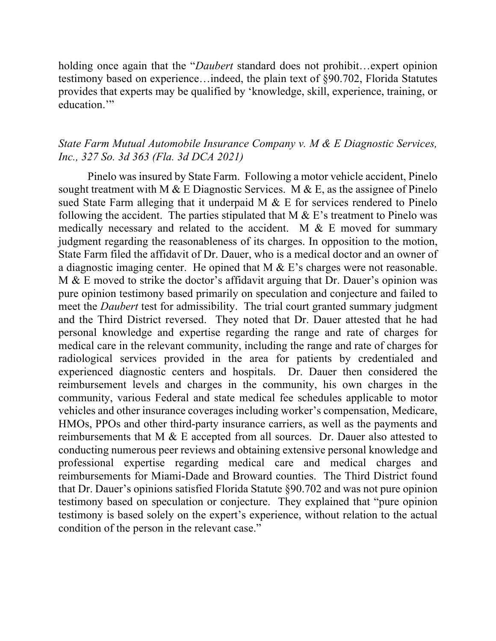holding once again that the "*Daubert* standard does not prohibit…expert opinion testimony based on experience…indeed, the plain text of §90.702, Florida Statutes provides that experts may be qualified by 'knowledge, skill, experience, training, or education."

# *State Farm Mutual Automobile Insurance Company v. M & E Diagnostic Services, Inc., 327 So. 3d 363 (Fla. 3d DCA 2021)*

Pinelo was insured by State Farm. Following a motor vehicle accident, Pinelo sought treatment with M & E Diagnostic Services. M & E, as the assignee of Pinelo sued State Farm alleging that it underpaid M & E for services rendered to Pinelo following the accident. The parties stipulated that  $M \& E$ 's treatment to Pinelo was medically necessary and related to the accident. M & E moved for summary judgment regarding the reasonableness of its charges. In opposition to the motion, State Farm filed the affidavit of Dr. Dauer, who is a medical doctor and an owner of a diagnostic imaging center. He opined that M & E's charges were not reasonable. M & E moved to strike the doctor's affidavit arguing that Dr. Dauer's opinion was pure opinion testimony based primarily on speculation and conjecture and failed to meet the *Daubert* test for admissibility. The trial court granted summary judgment and the Third District reversed. They noted that Dr. Dauer attested that he had personal knowledge and expertise regarding the range and rate of charges for medical care in the relevant community, including the range and rate of charges for radiological services provided in the area for patients by credentialed and experienced diagnostic centers and hospitals. Dr. Dauer then considered the reimbursement levels and charges in the community, his own charges in the community, various Federal and state medical fee schedules applicable to motor vehicles and other insurance coverages including worker's compensation, Medicare, HMOs, PPOs and other third-party insurance carriers, as well as the payments and reimbursements that M & E accepted from all sources. Dr. Dauer also attested to conducting numerous peer reviews and obtaining extensive personal knowledge and professional expertise regarding medical care and medical charges and reimbursements for Miami-Dade and Broward counties. The Third District found that Dr. Dauer's opinions satisfied Florida Statute §90.702 and was not pure opinion testimony based on speculation or conjecture. They explained that "pure opinion testimony is based solely on the expert's experience, without relation to the actual condition of the person in the relevant case."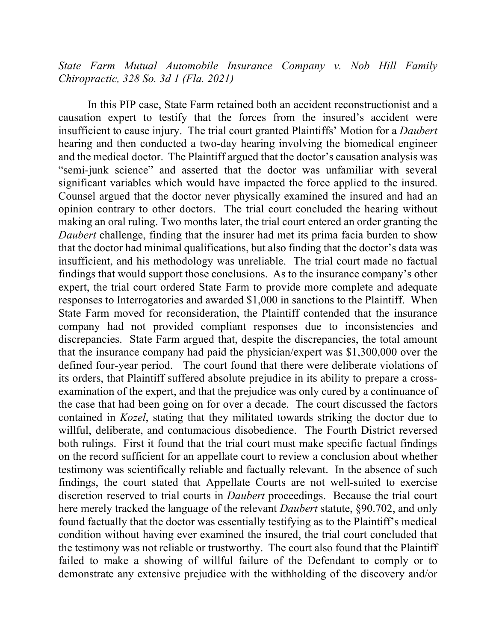*State Farm Mutual Automobile Insurance Company v. Nob Hill Family Chiropractic, 328 So. 3d 1 (Fla. 2021)*

In this PIP case, State Farm retained both an accident reconstructionist and a causation expert to testify that the forces from the insured's accident were insufficient to cause injury. The trial court granted Plaintiffs' Motion for a *Daubert* hearing and then conducted a two-day hearing involving the biomedical engineer and the medical doctor. The Plaintiff argued that the doctor's causation analysis was "semi-junk science" and asserted that the doctor was unfamiliar with several significant variables which would have impacted the force applied to the insured. Counsel argued that the doctor never physically examined the insured and had an opinion contrary to other doctors. The trial court concluded the hearing without making an oral ruling. Two months later, the trial court entered an order granting the *Daubert* challenge, finding that the insurer had met its prima facia burden to show that the doctor had minimal qualifications, but also finding that the doctor's data was insufficient, and his methodology was unreliable. The trial court made no factual findings that would support those conclusions. As to the insurance company's other expert, the trial court ordered State Farm to provide more complete and adequate responses to Interrogatories and awarded \$1,000 in sanctions to the Plaintiff. When State Farm moved for reconsideration, the Plaintiff contended that the insurance company had not provided compliant responses due to inconsistencies and discrepancies. State Farm argued that, despite the discrepancies, the total amount that the insurance company had paid the physician/expert was \$1,300,000 over the defined four-year period. The court found that there were deliberate violations of its orders, that Plaintiff suffered absolute prejudice in its ability to prepare a crossexamination of the expert, and that the prejudice was only cured by a continuance of the case that had been going on for over a decade. The court discussed the factors contained in *Kozel*, stating that they militated towards striking the doctor due to willful, deliberate, and contumacious disobedience. The Fourth District reversed both rulings. First it found that the trial court must make specific factual findings on the record sufficient for an appellate court to review a conclusion about whether testimony was scientifically reliable and factually relevant. In the absence of such findings, the court stated that Appellate Courts are not well-suited to exercise discretion reserved to trial courts in *Daubert* proceedings. Because the trial court here merely tracked the language of the relevant *Daubert* statute, §90.702, and only found factually that the doctor was essentially testifying as to the Plaintiff's medical condition without having ever examined the insured, the trial court concluded that the testimony was not reliable or trustworthy. The court also found that the Plaintiff failed to make a showing of willful failure of the Defendant to comply or to demonstrate any extensive prejudice with the withholding of the discovery and/or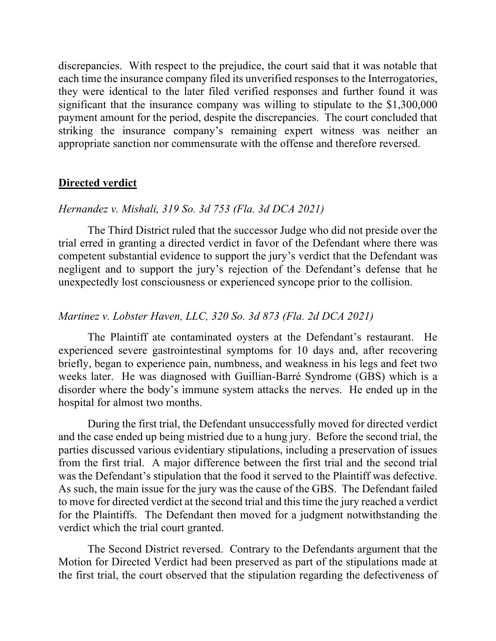discrepancies. With respect to the prejudice, the court said that it was notable that each time the insurance company filed its unverified responses to the Interrogatories, they were identical to the later filed verified responses and further found it was significant that the insurance company was willing to stipulate to the \$1,300,000 payment amount for the period, despite the discrepancies. The court concluded that striking the insurance company's remaining expert witness was neither an appropriate sanction nor commensurate with the offense and therefore reversed.

## **Directed verdict**

#### *Hernandez v. Mishali, 319 So. 3d 753 (Fla. 3d DCA 2021)*

The Third District ruled that the successor Judge who did not preside over the trial erred in granting a directed verdict in favor of the Defendant where there was competent substantial evidence to support the jury's verdict that the Defendant was negligent and to support the jury's rejection of the Defendant's defense that he unexpectedly lost consciousness or experienced syncope prior to the collision.

### *Martinez v. Lobster Haven, LLC, 320 So. 3d 873 (Fla. 2d DCA 2021)*

The Plaintiff ate contaminated oysters at the Defendant's restaurant. He experienced severe gastrointestinal symptoms for 10 days and, after recovering briefly, began to experience pain, numbness, and weakness in his legs and feet two weeks later. He was diagnosed with Guillian-Barré Syndrome (GBS) which is a disorder where the body's immune system attacks the nerves. He ended up in the hospital for almost two months.

During the first trial, the Defendant unsuccessfully moved for directed verdict and the case ended up being mistried due to a hung jury. Before the second trial, the parties discussed various evidentiary stipulations, including a preservation of issues from the first trial. A major difference between the first trial and the second trial was the Defendant's stipulation that the food it served to the Plaintiff was defective. As such, the main issue for the jury was the cause of the GBS. The Defendant failed to move for directed verdict at the second trial and this time the jury reached a verdict for the Plaintiffs. The Defendant then moved for a judgment notwithstanding the verdict which the trial court granted.

The Second District reversed. Contrary to the Defendants argument that the Motion for Directed Verdict had been preserved as part of the stipulations made at the first trial, the court observed that the stipulation regarding the defectiveness of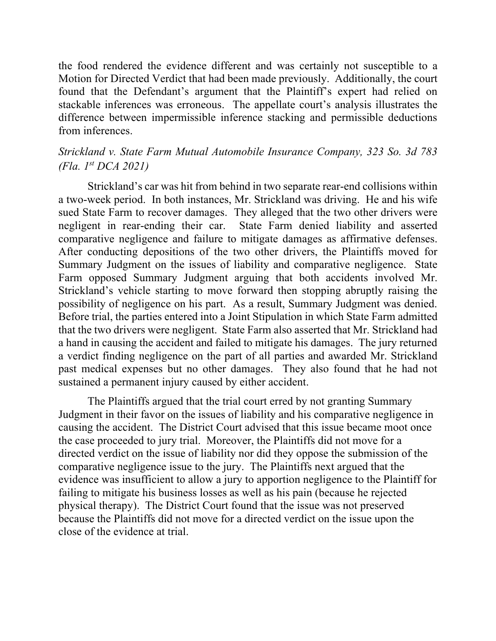the food rendered the evidence different and was certainly not susceptible to a Motion for Directed Verdict that had been made previously. Additionally, the court found that the Defendant's argument that the Plaintiff's expert had relied on stackable inferences was erroneous. The appellate court's analysis illustrates the difference between impermissible inference stacking and permissible deductions from inferences.

# *Strickland v. State Farm Mutual Automobile Insurance Company, 323 So. 3d 783 (Fla. 1st DCA 2021)*

Strickland's car was hit from behind in two separate rear-end collisions within a two-week period. In both instances, Mr. Strickland was driving. He and his wife sued State Farm to recover damages. They alleged that the two other drivers were negligent in rear-ending their car. State Farm denied liability and asserted comparative negligence and failure to mitigate damages as affirmative defenses. After conducting depositions of the two other drivers, the Plaintiffs moved for Summary Judgment on the issues of liability and comparative negligence. State Farm opposed Summary Judgment arguing that both accidents involved Mr. Strickland's vehicle starting to move forward then stopping abruptly raising the possibility of negligence on his part. As a result, Summary Judgment was denied. Before trial, the parties entered into a Joint Stipulation in which State Farm admitted that the two drivers were negligent. State Farm also asserted that Mr. Strickland had a hand in causing the accident and failed to mitigate his damages. The jury returned a verdict finding negligence on the part of all parties and awarded Mr. Strickland past medical expenses but no other damages. They also found that he had not sustained a permanent injury caused by either accident.

The Plaintiffs argued that the trial court erred by not granting Summary Judgment in their favor on the issues of liability and his comparative negligence in causing the accident. The District Court advised that this issue became moot once the case proceeded to jury trial. Moreover, the Plaintiffs did not move for a directed verdict on the issue of liability nor did they oppose the submission of the comparative negligence issue to the jury. The Plaintiffs next argued that the evidence was insufficient to allow a jury to apportion negligence to the Plaintiff for failing to mitigate his business losses as well as his pain (because he rejected physical therapy). The District Court found that the issue was not preserved because the Plaintiffs did not move for a directed verdict on the issue upon the close of the evidence at trial.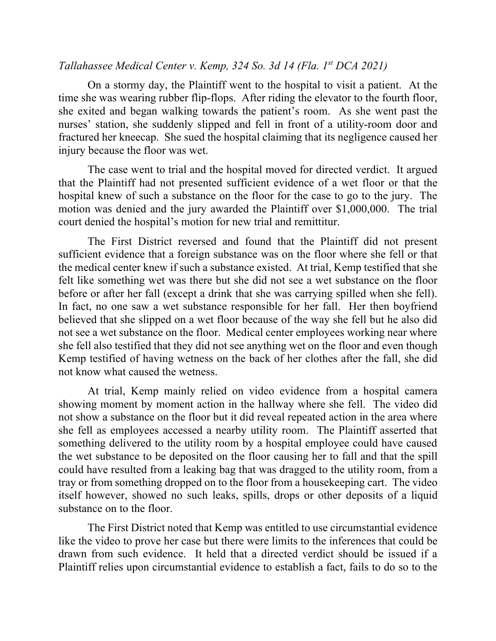## *Tallahassee Medical Center v. Kemp, 324 So. 3d 14 (Fla. 1st DCA 2021)*

On a stormy day, the Plaintiff went to the hospital to visit a patient. At the time she was wearing rubber flip-flops. After riding the elevator to the fourth floor, she exited and began walking towards the patient's room. As she went past the nurses' station, she suddenly slipped and fell in front of a utility-room door and fractured her kneecap. She sued the hospital claiming that its negligence caused her injury because the floor was wet.

The case went to trial and the hospital moved for directed verdict. It argued that the Plaintiff had not presented sufficient evidence of a wet floor or that the hospital knew of such a substance on the floor for the case to go to the jury. The motion was denied and the jury awarded the Plaintiff over \$1,000,000. The trial court denied the hospital's motion for new trial and remittitur.

The First District reversed and found that the Plaintiff did not present sufficient evidence that a foreign substance was on the floor where she fell or that the medical center knew if such a substance existed. At trial, Kemp testified that she felt like something wet was there but she did not see a wet substance on the floor before or after her fall (except a drink that she was carrying spilled when she fell). In fact, no one saw a wet substance responsible for her fall. Her then boyfriend believed that she slipped on a wet floor because of the way she fell but he also did not see a wet substance on the floor. Medical center employees working near where she fell also testified that they did not see anything wet on the floor and even though Kemp testified of having wetness on the back of her clothes after the fall, she did not know what caused the wetness.

At trial, Kemp mainly relied on video evidence from a hospital camera showing moment by moment action in the hallway where she fell. The video did not show a substance on the floor but it did reveal repeated action in the area where she fell as employees accessed a nearby utility room. The Plaintiff asserted that something delivered to the utility room by a hospital employee could have caused the wet substance to be deposited on the floor causing her to fall and that the spill could have resulted from a leaking bag that was dragged to the utility room, from a tray or from something dropped on to the floor from a housekeeping cart. The video itself however, showed no such leaks, spills, drops or other deposits of a liquid substance on to the floor.

The First District noted that Kemp was entitled to use circumstantial evidence like the video to prove her case but there were limits to the inferences that could be drawn from such evidence. It held that a directed verdict should be issued if a Plaintiff relies upon circumstantial evidence to establish a fact, fails to do so to the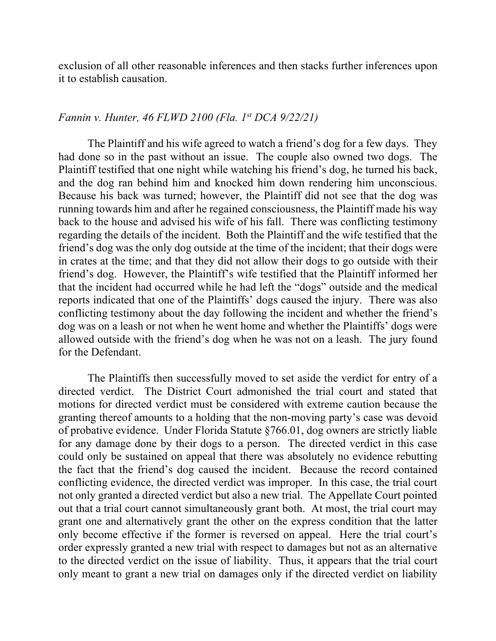exclusion of all other reasonable inferences and then stacks further inferences upon it to establish causation.

## *Fannin v. Hunter, 46 FLWD 2100 (Fla. 1st DCA 9/22/21)*

The Plaintiff and his wife agreed to watch a friend's dog for a few days. They had done so in the past without an issue. The couple also owned two dogs. The Plaintiff testified that one night while watching his friend's dog, he turned his back, and the dog ran behind him and knocked him down rendering him unconscious. Because his back was turned; however, the Plaintiff did not see that the dog was running towards him and after he regained consciousness, the Plaintiff made his way back to the house and advised his wife of his fall. There was conflicting testimony regarding the details of the incident. Both the Plaintiff and the wife testified that the friend's dog was the only dog outside at the time of the incident; that their dogs were in crates at the time; and that they did not allow their dogs to go outside with their friend's dog. However, the Plaintiff's wife testified that the Plaintiff informed her that the incident had occurred while he had left the "dogs" outside and the medical reports indicated that one of the Plaintiffs' dogs caused the injury. There was also conflicting testimony about the day following the incident and whether the friend's dog was on a leash or not when he went home and whether the Plaintiffs' dogs were allowed outside with the friend's dog when he was not on a leash. The jury found for the Defendant.

The Plaintiffs then successfully moved to set aside the verdict for entry of a directed verdict. The District Court admonished the trial court and stated that motions for directed verdict must be considered with extreme caution because the granting thereof amounts to a holding that the non-moving party's case was devoid of probative evidence. Under Florida Statute §766.01, dog owners are strictly liable for any damage done by their dogs to a person. The directed verdict in this case could only be sustained on appeal that there was absolutely no evidence rebutting the fact that the friend's dog caused the incident. Because the record contained conflicting evidence, the directed verdict was improper. In this case, the trial court not only granted a directed verdict but also a new trial. The Appellate Court pointed out that a trial court cannot simultaneously grant both. At most, the trial court may grant one and alternatively grant the other on the express condition that the latter only become effective if the former is reversed on appeal. Here the trial court's order expressly granted a new trial with respect to damages but not as an alternative to the directed verdict on the issue of liability. Thus, it appears that the trial court only meant to grant a new trial on damages only if the directed verdict on liability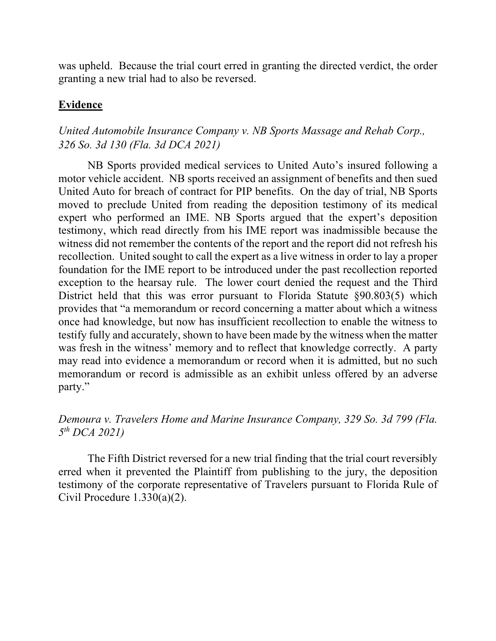was upheld. Because the trial court erred in granting the directed verdict, the order granting a new trial had to also be reversed.

# **Evidence**

# *United Automobile Insurance Company v. NB Sports Massage and Rehab Corp., 326 So. 3d 130 (Fla. 3d DCA 2021)*

NB Sports provided medical services to United Auto's insured following a motor vehicle accident. NB sports received an assignment of benefits and then sued United Auto for breach of contract for PIP benefits. On the day of trial, NB Sports moved to preclude United from reading the deposition testimony of its medical expert who performed an IME. NB Sports argued that the expert's deposition testimony, which read directly from his IME report was inadmissible because the witness did not remember the contents of the report and the report did not refresh his recollection. United sought to call the expert as a live witness in order to lay a proper foundation for the IME report to be introduced under the past recollection reported exception to the hearsay rule. The lower court denied the request and the Third District held that this was error pursuant to Florida Statute §90.803(5) which provides that "a memorandum or record concerning a matter about which a witness once had knowledge, but now has insufficient recollection to enable the witness to testify fully and accurately, shown to have been made by the witness when the matter was fresh in the witness' memory and to reflect that knowledge correctly. A party may read into evidence a memorandum or record when it is admitted, but no such memorandum or record is admissible as an exhibit unless offered by an adverse party."

# *Demoura v. Travelers Home and Marine Insurance Company, 329 So. 3d 799 (Fla. 5th DCA 2021)*

The Fifth District reversed for a new trial finding that the trial court reversibly erred when it prevented the Plaintiff from publishing to the jury, the deposition testimony of the corporate representative of Travelers pursuant to Florida Rule of Civil Procedure 1.330(a)(2).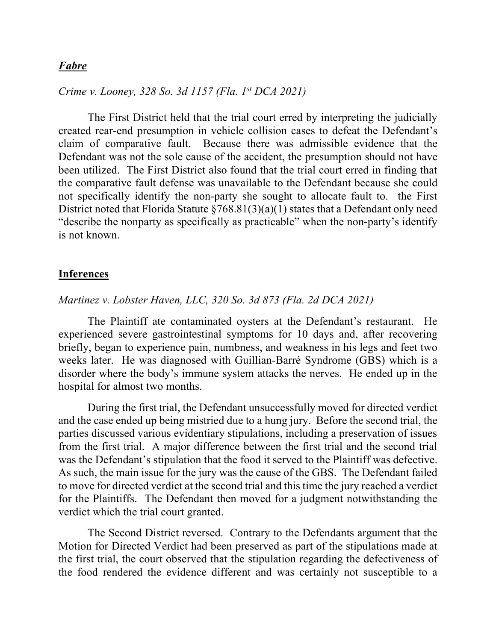## *Fabre*

*Crime v. Looney, 328 So. 3d 1157 (Fla. 1st DCA 2021)*

The First District held that the trial court erred by interpreting the judicially created rear-end presumption in vehicle collision cases to defeat the Defendant's claim of comparative fault. Because there was admissible evidence that the Defendant was not the sole cause of the accident, the presumption should not have been utilized. The First District also found that the trial court erred in finding that the comparative fault defense was unavailable to the Defendant because she could not specifically identify the non-party she sought to allocate fault to. the First District noted that Florida Statute  $\frac{$768.81(3)(a)(1)}{3}$  states that a Defendant only need "describe the nonparty as specifically as practicable" when the non-party's identify is not known.

### **Inferences**

## *Martinez v. Lobster Haven, LLC, 320 So. 3d 873 (Fla. 2d DCA 2021)*

The Plaintiff ate contaminated oysters at the Defendant's restaurant. He experienced severe gastrointestinal symptoms for 10 days and, after recovering briefly, began to experience pain, numbness, and weakness in his legs and feet two weeks later. He was diagnosed with Guillian-Barré Syndrome (GBS) which is a disorder where the body's immune system attacks the nerves. He ended up in the hospital for almost two months.

During the first trial, the Defendant unsuccessfully moved for directed verdict and the case ended up being mistried due to a hung jury. Before the second trial, the parties discussed various evidentiary stipulations, including a preservation of issues from the first trial. A major difference between the first trial and the second trial was the Defendant's stipulation that the food it served to the Plaintiff was defective. As such, the main issue for the jury was the cause of the GBS. The Defendant failed to move for directed verdict at the second trial and this time the jury reached a verdict for the Plaintiffs. The Defendant then moved for a judgment notwithstanding the verdict which the trial court granted.

The Second District reversed. Contrary to the Defendants argument that the Motion for Directed Verdict had been preserved as part of the stipulations made at the first trial, the court observed that the stipulation regarding the defectiveness of the food rendered the evidence different and was certainly not susceptible to a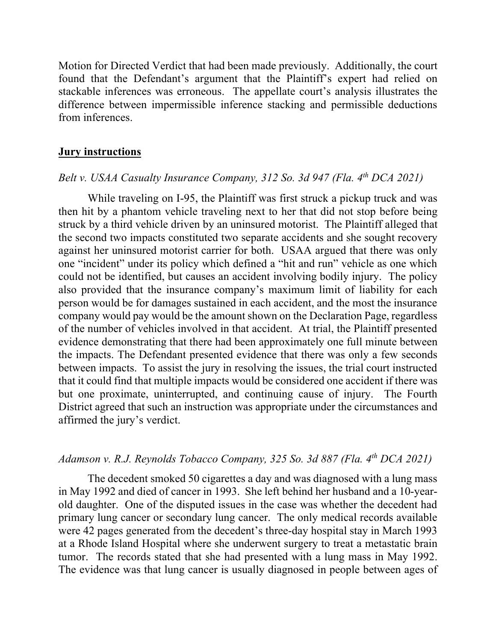Motion for Directed Verdict that had been made previously. Additionally, the court found that the Defendant's argument that the Plaintiff's expert had relied on stackable inferences was erroneous. The appellate court's analysis illustrates the difference between impermissible inference stacking and permissible deductions from inferences.

### **Jury instructions**

## *Belt v. USAA Casualty Insurance Company, 312 So. 3d 947 (Fla. 4th DCA 2021)*

While traveling on I-95, the Plaintiff was first struck a pickup truck and was then hit by a phantom vehicle traveling next to her that did not stop before being struck by a third vehicle driven by an uninsured motorist. The Plaintiff alleged that the second two impacts constituted two separate accidents and she sought recovery against her uninsured motorist carrier for both. USAA argued that there was only one "incident" under its policy which defined a "hit and run" vehicle as one which could not be identified, but causes an accident involving bodily injury. The policy also provided that the insurance company's maximum limit of liability for each person would be for damages sustained in each accident, and the most the insurance company would pay would be the amount shown on the Declaration Page, regardless of the number of vehicles involved in that accident. At trial, the Plaintiff presented evidence demonstrating that there had been approximately one full minute between the impacts. The Defendant presented evidence that there was only a few seconds between impacts. To assist the jury in resolving the issues, the trial court instructed that it could find that multiple impacts would be considered one accident if there was but one proximate, uninterrupted, and continuing cause of injury. The Fourth District agreed that such an instruction was appropriate under the circumstances and affirmed the jury's verdict.

### *Adamson v. R.J. Reynolds Tobacco Company, 325 So. 3d 887 (Fla. 4th DCA 2021)*

The decedent smoked 50 cigarettes a day and was diagnosed with a lung mass in May 1992 and died of cancer in 1993. She left behind her husband and a 10-yearold daughter. One of the disputed issues in the case was whether the decedent had primary lung cancer or secondary lung cancer. The only medical records available were 42 pages generated from the decedent's three-day hospital stay in March 1993 at a Rhode Island Hospital where she underwent surgery to treat a metastatic brain tumor. The records stated that she had presented with a lung mass in May 1992. The evidence was that lung cancer is usually diagnosed in people between ages of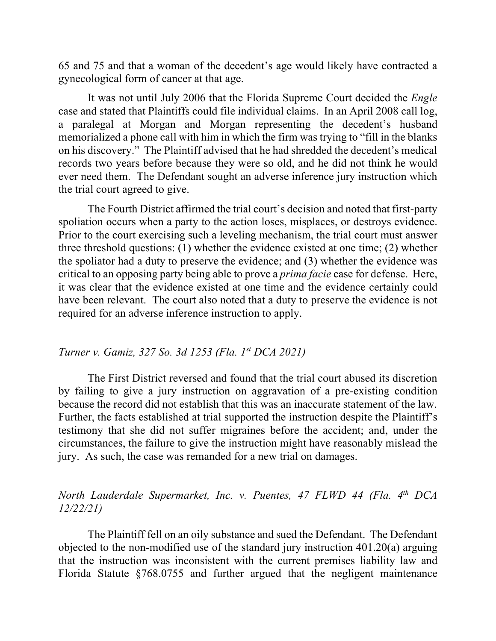65 and 75 and that a woman of the decedent's age would likely have contracted a gynecological form of cancer at that age.

It was not until July 2006 that the Florida Supreme Court decided the *Engle*  case and stated that Plaintiffs could file individual claims. In an April 2008 call log, a paralegal at Morgan and Morgan representing the decedent's husband memorialized a phone call with him in which the firm was trying to "fill in the blanks on his discovery." The Plaintiff advised that he had shredded the decedent's medical records two years before because they were so old, and he did not think he would ever need them. The Defendant sought an adverse inference jury instruction which the trial court agreed to give.

The Fourth District affirmed the trial court's decision and noted that first-party spoliation occurs when a party to the action loses, misplaces, or destroys evidence. Prior to the court exercising such a leveling mechanism, the trial court must answer three threshold questions: (1) whether the evidence existed at one time; (2) whether the spoliator had a duty to preserve the evidence; and (3) whether the evidence was critical to an opposing party being able to prove a *prima facie* case for defense. Here, it was clear that the evidence existed at one time and the evidence certainly could have been relevant. The court also noted that a duty to preserve the evidence is not required for an adverse inference instruction to apply.

### *Turner v. Gamiz, 327 So. 3d 1253 (Fla. 1st DCA 2021)*

The First District reversed and found that the trial court abused its discretion by failing to give a jury instruction on aggravation of a pre-existing condition because the record did not establish that this was an inaccurate statement of the law. Further, the facts established at trial supported the instruction despite the Plaintiff's testimony that she did not suffer migraines before the accident; and, under the circumstances, the failure to give the instruction might have reasonably mislead the jury. As such, the case was remanded for a new trial on damages.

# *North Lauderdale Supermarket, Inc. v. Puentes, 47 FLWD 44 (Fla. 4th DCA 12/22/21)*

The Plaintiff fell on an oily substance and sued the Defendant. The Defendant objected to the non-modified use of the standard jury instruction 401.20(a) arguing that the instruction was inconsistent with the current premises liability law and Florida Statute §768.0755 and further argued that the negligent maintenance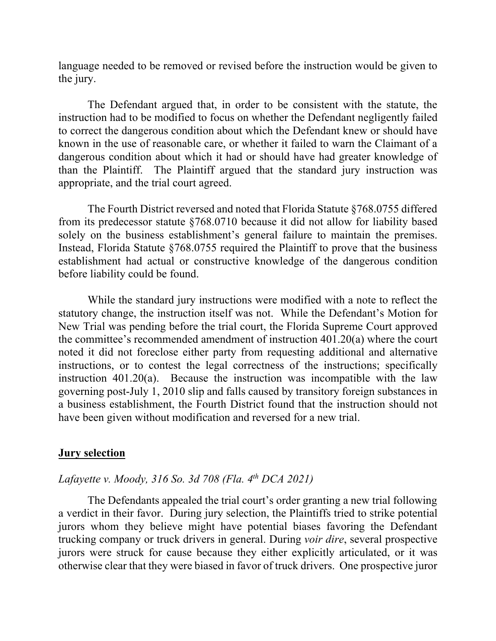language needed to be removed or revised before the instruction would be given to the jury.

The Defendant argued that, in order to be consistent with the statute, the instruction had to be modified to focus on whether the Defendant negligently failed to correct the dangerous condition about which the Defendant knew or should have known in the use of reasonable care, or whether it failed to warn the Claimant of a dangerous condition about which it had or should have had greater knowledge of than the Plaintiff. The Plaintiff argued that the standard jury instruction was appropriate, and the trial court agreed.

The Fourth District reversed and noted that Florida Statute §768.0755 differed from its predecessor statute §768.0710 because it did not allow for liability based solely on the business establishment's general failure to maintain the premises. Instead, Florida Statute §768.0755 required the Plaintiff to prove that the business establishment had actual or constructive knowledge of the dangerous condition before liability could be found.

While the standard jury instructions were modified with a note to reflect the statutory change, the instruction itself was not. While the Defendant's Motion for New Trial was pending before the trial court, the Florida Supreme Court approved the committee's recommended amendment of instruction 401.20(a) where the court noted it did not foreclose either party from requesting additional and alternative instructions, or to contest the legal correctness of the instructions; specifically instruction 401.20(a). Because the instruction was incompatible with the law governing post-July 1, 2010 slip and falls caused by transitory foreign substances in a business establishment, the Fourth District found that the instruction should not have been given without modification and reversed for a new trial.

#### **Jury selection**

### *Lafayette v. Moody, 316 So. 3d 708 (Fla. 4th DCA 2021)*

The Defendants appealed the trial court's order granting a new trial following a verdict in their favor. During jury selection, the Plaintiffs tried to strike potential jurors whom they believe might have potential biases favoring the Defendant trucking company or truck drivers in general. During *voir dire*, several prospective jurors were struck for cause because they either explicitly articulated, or it was otherwise clear that they were biased in favor of truck drivers. One prospective juror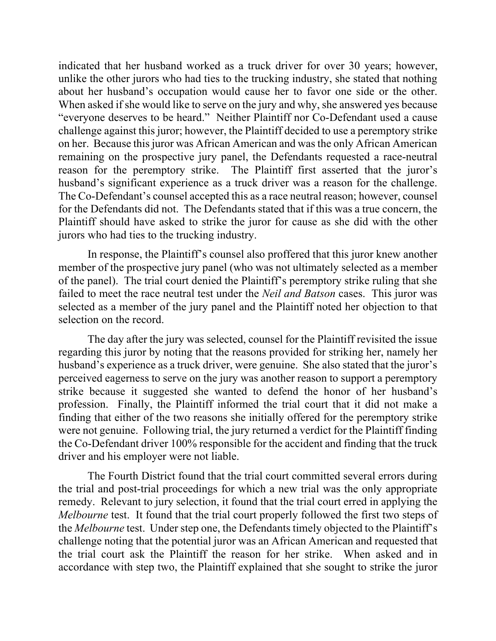indicated that her husband worked as a truck driver for over 30 years; however, unlike the other jurors who had ties to the trucking industry, she stated that nothing about her husband's occupation would cause her to favor one side or the other. When asked if she would like to serve on the jury and why, she answered yes because "everyone deserves to be heard." Neither Plaintiff nor Co-Defendant used a cause challenge against this juror; however, the Plaintiff decided to use a peremptory strike on her. Because this juror was African American and was the only African American remaining on the prospective jury panel, the Defendants requested a race-neutral reason for the peremptory strike. The Plaintiff first asserted that the juror's husband's significant experience as a truck driver was a reason for the challenge. The Co-Defendant's counsel accepted this as a race neutral reason; however, counsel for the Defendants did not. The Defendants stated that if this was a true concern, the Plaintiff should have asked to strike the juror for cause as she did with the other jurors who had ties to the trucking industry.

In response, the Plaintiff's counsel also proffered that this juror knew another member of the prospective jury panel (who was not ultimately selected as a member of the panel). The trial court denied the Plaintiff's peremptory strike ruling that she failed to meet the race neutral test under the *Neil and Batson* cases. This juror was selected as a member of the jury panel and the Plaintiff noted her objection to that selection on the record.

The day after the jury was selected, counsel for the Plaintiff revisited the issue regarding this juror by noting that the reasons provided for striking her, namely her husband's experience as a truck driver, were genuine. She also stated that the juror's perceived eagerness to serve on the jury was another reason to support a peremptory strike because it suggested she wanted to defend the honor of her husband's profession. Finally, the Plaintiff informed the trial court that it did not make a finding that either of the two reasons she initially offered for the peremptory strike were not genuine. Following trial, the jury returned a verdict for the Plaintiff finding the Co-Defendant driver 100% responsible for the accident and finding that the truck driver and his employer were not liable.

The Fourth District found that the trial court committed several errors during the trial and post-trial proceedings for which a new trial was the only appropriate remedy. Relevant to jury selection, it found that the trial court erred in applying the *Melbourne* test. It found that the trial court properly followed the first two steps of the *Melbourne* test. Under step one, the Defendants timely objected to the Plaintiff's challenge noting that the potential juror was an African American and requested that the trial court ask the Plaintiff the reason for her strike. When asked and in accordance with step two, the Plaintiff explained that she sought to strike the juror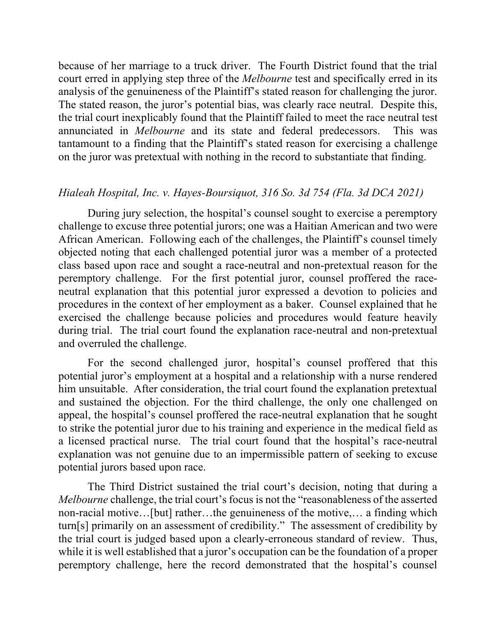because of her marriage to a truck driver. The Fourth District found that the trial court erred in applying step three of the *Melbourne* test and specifically erred in its analysis of the genuineness of the Plaintiff's stated reason for challenging the juror. The stated reason, the juror's potential bias, was clearly race neutral. Despite this, the trial court inexplicably found that the Plaintiff failed to meet the race neutral test annunciated in *Melbourne* and its state and federal predecessors. This was tantamount to a finding that the Plaintiff's stated reason for exercising a challenge on the juror was pretextual with nothing in the record to substantiate that finding.

## *Hialeah Hospital, Inc. v. Hayes-Boursiquot, 316 So. 3d 754 (Fla. 3d DCA 2021)*

During jury selection, the hospital's counsel sought to exercise a peremptory challenge to excuse three potential jurors; one was a Haitian American and two were African American. Following each of the challenges, the Plaintiff's counsel timely objected noting that each challenged potential juror was a member of a protected class based upon race and sought a race-neutral and non-pretextual reason for the peremptory challenge. For the first potential juror, counsel proffered the raceneutral explanation that this potential juror expressed a devotion to policies and procedures in the context of her employment as a baker. Counsel explained that he exercised the challenge because policies and procedures would feature heavily during trial. The trial court found the explanation race-neutral and non-pretextual and overruled the challenge.

For the second challenged juror, hospital's counsel proffered that this potential juror's employment at a hospital and a relationship with a nurse rendered him unsuitable. After consideration, the trial court found the explanation pretextual and sustained the objection. For the third challenge, the only one challenged on appeal, the hospital's counsel proffered the race-neutral explanation that he sought to strike the potential juror due to his training and experience in the medical field as a licensed practical nurse. The trial court found that the hospital's race-neutral explanation was not genuine due to an impermissible pattern of seeking to excuse potential jurors based upon race.

The Third District sustained the trial court's decision, noting that during a *Melbourne* challenge, the trial court's focus is not the "reasonableness of the asserted non-racial motive…[but] rather…the genuineness of the motive,… a finding which turn[s] primarily on an assessment of credibility." The assessment of credibility by the trial court is judged based upon a clearly-erroneous standard of review. Thus, while it is well established that a juror's occupation can be the foundation of a proper peremptory challenge, here the record demonstrated that the hospital's counsel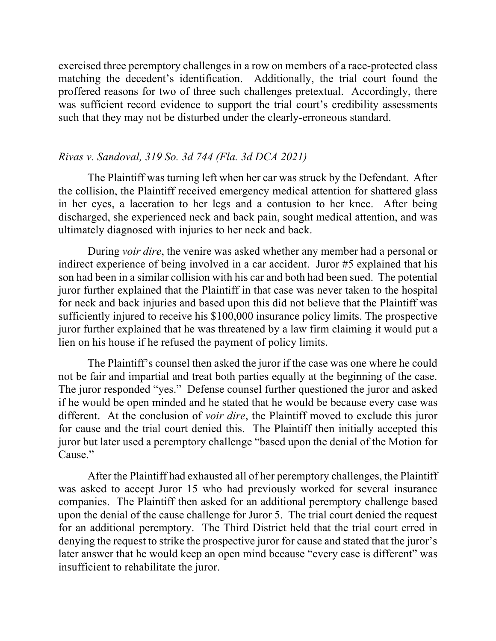exercised three peremptory challenges in a row on members of a race-protected class matching the decedent's identification. Additionally, the trial court found the proffered reasons for two of three such challenges pretextual. Accordingly, there was sufficient record evidence to support the trial court's credibility assessments such that they may not be disturbed under the clearly-erroneous standard.

## *Rivas v. Sandoval, 319 So. 3d 744 (Fla. 3d DCA 2021)*

The Plaintiff was turning left when her car was struck by the Defendant. After the collision, the Plaintiff received emergency medical attention for shattered glass in her eyes, a laceration to her legs and a contusion to her knee. After being discharged, she experienced neck and back pain, sought medical attention, and was ultimately diagnosed with injuries to her neck and back.

During *voir dire*, the venire was asked whether any member had a personal or indirect experience of being involved in a car accident. Juror #5 explained that his son had been in a similar collision with his car and both had been sued. The potential juror further explained that the Plaintiff in that case was never taken to the hospital for neck and back injuries and based upon this did not believe that the Plaintiff was sufficiently injured to receive his \$100,000 insurance policy limits. The prospective juror further explained that he was threatened by a law firm claiming it would put a lien on his house if he refused the payment of policy limits.

The Plaintiff's counsel then asked the juror if the case was one where he could not be fair and impartial and treat both parties equally at the beginning of the case. The juror responded "yes." Defense counsel further questioned the juror and asked if he would be open minded and he stated that he would be because every case was different. At the conclusion of *voir dire*, the Plaintiff moved to exclude this juror for cause and the trial court denied this. The Plaintiff then initially accepted this juror but later used a peremptory challenge "based upon the denial of the Motion for Cause."

After the Plaintiff had exhausted all of her peremptory challenges, the Plaintiff was asked to accept Juror 15 who had previously worked for several insurance companies. The Plaintiff then asked for an additional peremptory challenge based upon the denial of the cause challenge for Juror 5. The trial court denied the request for an additional peremptory. The Third District held that the trial court erred in denying the request to strike the prospective juror for cause and stated that the juror's later answer that he would keep an open mind because "every case is different" was insufficient to rehabilitate the juror.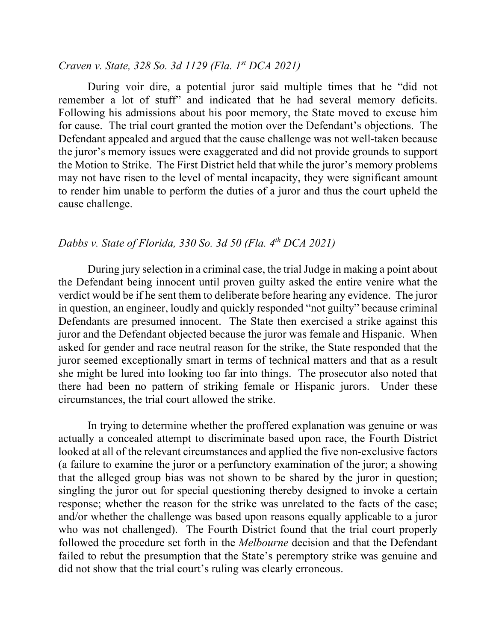### *Craven v. State, 328 So. 3d 1129 (Fla. 1st DCA 2021)*

During voir dire, a potential juror said multiple times that he "did not remember a lot of stuff" and indicated that he had several memory deficits. Following his admissions about his poor memory, the State moved to excuse him for cause. The trial court granted the motion over the Defendant's objections. The Defendant appealed and argued that the cause challenge was not well-taken because the juror's memory issues were exaggerated and did not provide grounds to support the Motion to Strike. The First District held that while the juror's memory problems may not have risen to the level of mental incapacity, they were significant amount to render him unable to perform the duties of a juror and thus the court upheld the cause challenge.

# *Dabbs v. State of Florida, 330 So. 3d 50 (Fla. 4th DCA 2021)*

During jury selection in a criminal case, the trial Judge in making a point about the Defendant being innocent until proven guilty asked the entire venire what the verdict would be if he sent them to deliberate before hearing any evidence. The juror in question, an engineer, loudly and quickly responded "not guilty" because criminal Defendants are presumed innocent. The State then exercised a strike against this juror and the Defendant objected because the juror was female and Hispanic. When asked for gender and race neutral reason for the strike, the State responded that the juror seemed exceptionally smart in terms of technical matters and that as a result she might be lured into looking too far into things. The prosecutor also noted that there had been no pattern of striking female or Hispanic jurors. Under these circumstances, the trial court allowed the strike.

In trying to determine whether the proffered explanation was genuine or was actually a concealed attempt to discriminate based upon race, the Fourth District looked at all of the relevant circumstances and applied the five non-exclusive factors (a failure to examine the juror or a perfunctory examination of the juror; a showing that the alleged group bias was not shown to be shared by the juror in question; singling the juror out for special questioning thereby designed to invoke a certain response; whether the reason for the strike was unrelated to the facts of the case; and/or whether the challenge was based upon reasons equally applicable to a juror who was not challenged). The Fourth District found that the trial court properly followed the procedure set forth in the *Melbourne* decision and that the Defendant failed to rebut the presumption that the State's peremptory strike was genuine and did not show that the trial court's ruling was clearly erroneous.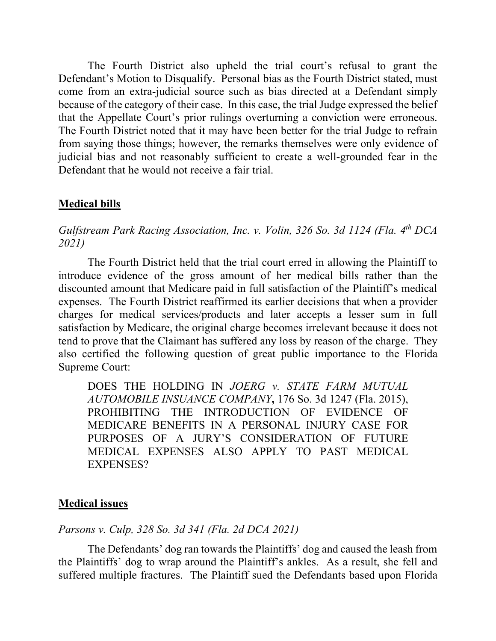The Fourth District also upheld the trial court's refusal to grant the Defendant's Motion to Disqualify. Personal bias as the Fourth District stated, must come from an extra-judicial source such as bias directed at a Defendant simply because of the category of their case. In this case, the trial Judge expressed the belief that the Appellate Court's prior rulings overturning a conviction were erroneous. The Fourth District noted that it may have been better for the trial Judge to refrain from saying those things; however, the remarks themselves were only evidence of judicial bias and not reasonably sufficient to create a well-grounded fear in the Defendant that he would not receive a fair trial.

# **Medical bills**

*Gulfstream Park Racing Association, Inc. v. Volin, 326 So. 3d 1124 (Fla. 4th DCA 2021)*

The Fourth District held that the trial court erred in allowing the Plaintiff to introduce evidence of the gross amount of her medical bills rather than the discounted amount that Medicare paid in full satisfaction of the Plaintiff's medical expenses. The Fourth District reaffirmed its earlier decisions that when a provider charges for medical services/products and later accepts a lesser sum in full satisfaction by Medicare, the original charge becomes irrelevant because it does not tend to prove that the Claimant has suffered any loss by reason of the charge. They also certified the following question of great public importance to the Florida Supreme Court:

DOES THE HOLDING IN *JOERG v. STATE FARM MUTUAL AUTOMOBILE INSUANCE COMPANY***,** 176 So. 3d 1247 (Fla. 2015), PROHIBITING THE INTRODUCTION OF EVIDENCE OF MEDICARE BENEFITS IN A PERSONAL INJURY CASE FOR PURPOSES OF A JURY'S CONSIDERATION OF FUTURE MEDICAL EXPENSES ALSO APPLY TO PAST MEDICAL EXPENSES?

## **Medical issues**

## *Parsons v. Culp, 328 So. 3d 341 (Fla. 2d DCA 2021)*

The Defendants' dog ran towards the Plaintiffs' dog and caused the leash from the Plaintiffs' dog to wrap around the Plaintiff's ankles. As a result, she fell and suffered multiple fractures. The Plaintiff sued the Defendants based upon Florida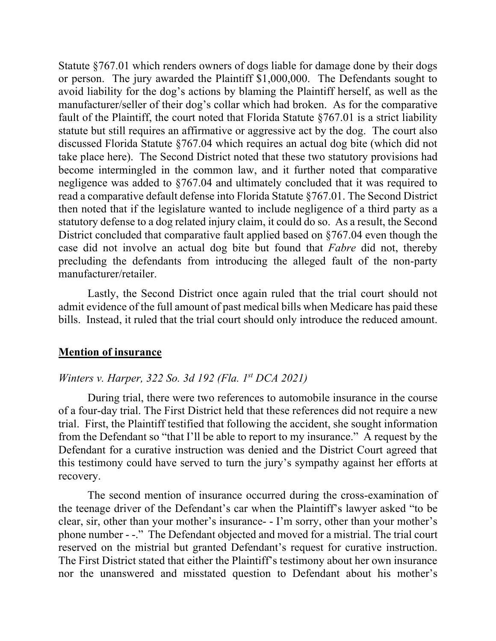Statute §767.01 which renders owners of dogs liable for damage done by their dogs or person. The jury awarded the Plaintiff \$1,000,000. The Defendants sought to avoid liability for the dog's actions by blaming the Plaintiff herself, as well as the manufacturer/seller of their dog's collar which had broken. As for the comparative fault of the Plaintiff, the court noted that Florida Statute  $$767.01$  is a strict liability statute but still requires an affirmative or aggressive act by the dog. The court also discussed Florida Statute §767.04 which requires an actual dog bite (which did not take place here). The Second District noted that these two statutory provisions had become intermingled in the common law, and it further noted that comparative negligence was added to §767.04 and ultimately concluded that it was required to read a comparative default defense into Florida Statute §767.01. The Second District then noted that if the legislature wanted to include negligence of a third party as a statutory defense to a dog related injury claim, it could do so. As a result, the Second District concluded that comparative fault applied based on §767.04 even though the case did not involve an actual dog bite but found that *Fabre* did not, thereby precluding the defendants from introducing the alleged fault of the non-party manufacturer/retailer.

Lastly, the Second District once again ruled that the trial court should not admit evidence of the full amount of past medical bills when Medicare has paid these bills. Instead, it ruled that the trial court should only introduce the reduced amount.

### **Mention of insurance**

### *Winters v. Harper, 322 So. 3d 192 (Fla. 1st DCA 2021)*

During trial, there were two references to automobile insurance in the course of a four-day trial. The First District held that these references did not require a new trial. First, the Plaintiff testified that following the accident, she sought information from the Defendant so "that I'll be able to report to my insurance." A request by the Defendant for a curative instruction was denied and the District Court agreed that this testimony could have served to turn the jury's sympathy against her efforts at recovery.

The second mention of insurance occurred during the cross-examination of the teenage driver of the Defendant's car when the Plaintiff's lawyer asked "to be clear, sir, other than your mother's insurance- - I'm sorry, other than your mother's phone number - -." The Defendant objected and moved for a mistrial. The trial court reserved on the mistrial but granted Defendant's request for curative instruction. The First District stated that either the Plaintiff's testimony about her own insurance nor the unanswered and misstated question to Defendant about his mother's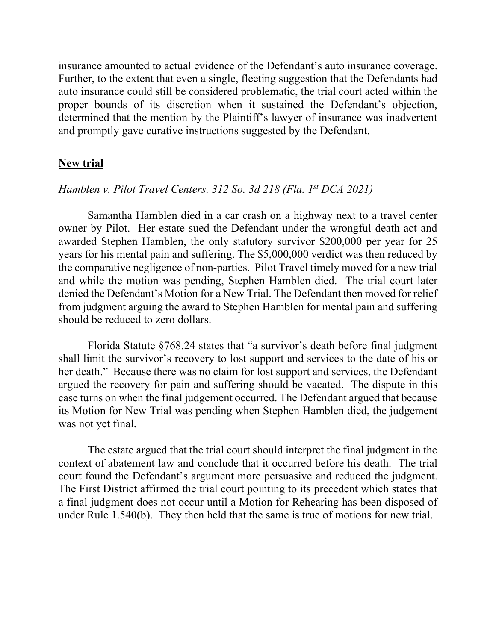insurance amounted to actual evidence of the Defendant's auto insurance coverage. Further, to the extent that even a single, fleeting suggestion that the Defendants had auto insurance could still be considered problematic, the trial court acted within the proper bounds of its discretion when it sustained the Defendant's objection, determined that the mention by the Plaintiff's lawyer of insurance was inadvertent and promptly gave curative instructions suggested by the Defendant.

### **New trial**

### *Hamblen v. Pilot Travel Centers, 312 So. 3d 218 (Fla. 1st DCA 2021)*

Samantha Hamblen died in a car crash on a highway next to a travel center owner by Pilot. Her estate sued the Defendant under the wrongful death act and awarded Stephen Hamblen, the only statutory survivor \$200,000 per year for 25 years for his mental pain and suffering. The \$5,000,000 verdict was then reduced by the comparative negligence of non-parties. Pilot Travel timely moved for a new trial and while the motion was pending, Stephen Hamblen died. The trial court later denied the Defendant's Motion for a New Trial. The Defendant then moved for relief from judgment arguing the award to Stephen Hamblen for mental pain and suffering should be reduced to zero dollars.

Florida Statute §768.24 states that "a survivor's death before final judgment shall limit the survivor's recovery to lost support and services to the date of his or her death." Because there was no claim for lost support and services, the Defendant argued the recovery for pain and suffering should be vacated. The dispute in this case turns on when the final judgement occurred. The Defendant argued that because its Motion for New Trial was pending when Stephen Hamblen died, the judgement was not yet final.

The estate argued that the trial court should interpret the final judgment in the context of abatement law and conclude that it occurred before his death. The trial court found the Defendant's argument more persuasive and reduced the judgment. The First District affirmed the trial court pointing to its precedent which states that a final judgment does not occur until a Motion for Rehearing has been disposed of under Rule 1.540(b). They then held that the same is true of motions for new trial.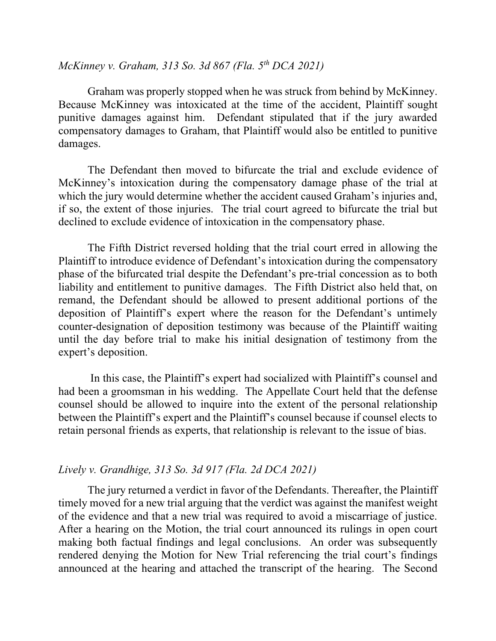# *McKinney v. Graham, 313 So. 3d 867 (Fla. 5th DCA 2021)*

Graham was properly stopped when he was struck from behind by McKinney. Because McKinney was intoxicated at the time of the accident, Plaintiff sought punitive damages against him. Defendant stipulated that if the jury awarded compensatory damages to Graham, that Plaintiff would also be entitled to punitive damages.

The Defendant then moved to bifurcate the trial and exclude evidence of McKinney's intoxication during the compensatory damage phase of the trial at which the jury would determine whether the accident caused Graham's injuries and, if so, the extent of those injuries. The trial court agreed to bifurcate the trial but declined to exclude evidence of intoxication in the compensatory phase.

The Fifth District reversed holding that the trial court erred in allowing the Plaintiff to introduce evidence of Defendant's intoxication during the compensatory phase of the bifurcated trial despite the Defendant's pre-trial concession as to both liability and entitlement to punitive damages. The Fifth District also held that, on remand, the Defendant should be allowed to present additional portions of the deposition of Plaintiff's expert where the reason for the Defendant's untimely counter-designation of deposition testimony was because of the Plaintiff waiting until the day before trial to make his initial designation of testimony from the expert's deposition.

In this case, the Plaintiff's expert had socialized with Plaintiff's counsel and had been a groomsman in his wedding. The Appellate Court held that the defense counsel should be allowed to inquire into the extent of the personal relationship between the Plaintiff's expert and the Plaintiff's counsel because if counsel elects to retain personal friends as experts, that relationship is relevant to the issue of bias.

# *Lively v. Grandhige, 313 So. 3d 917 (Fla. 2d DCA 2021)*

The jury returned a verdict in favor of the Defendants. Thereafter, the Plaintiff timely moved for a new trial arguing that the verdict was against the manifest weight of the evidence and that a new trial was required to avoid a miscarriage of justice. After a hearing on the Motion, the trial court announced its rulings in open court making both factual findings and legal conclusions. An order was subsequently rendered denying the Motion for New Trial referencing the trial court's findings announced at the hearing and attached the transcript of the hearing. The Second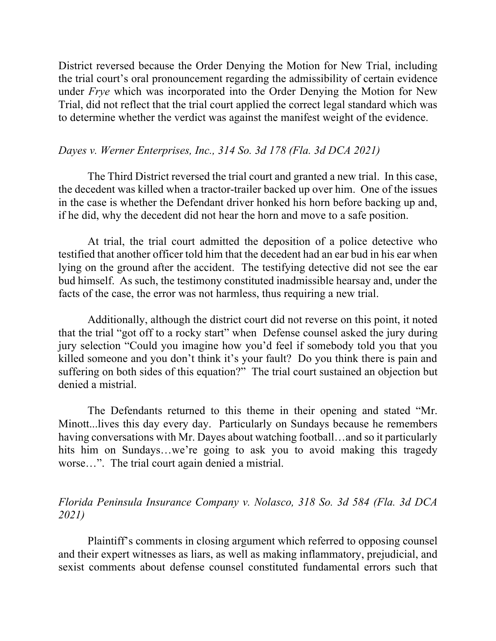District reversed because the Order Denying the Motion for New Trial, including the trial court's oral pronouncement regarding the admissibility of certain evidence under *Frye* which was incorporated into the Order Denying the Motion for New Trial, did not reflect that the trial court applied the correct legal standard which was to determine whether the verdict was against the manifest weight of the evidence.

### *Dayes v. Werner Enterprises, Inc., 314 So. 3d 178 (Fla. 3d DCA 2021)*

The Third District reversed the trial court and granted a new trial. In this case, the decedent was killed when a tractor-trailer backed up over him. One of the issues in the case is whether the Defendant driver honked his horn before backing up and, if he did, why the decedent did not hear the horn and move to a safe position.

At trial, the trial court admitted the deposition of a police detective who testified that another officer told him that the decedent had an ear bud in his ear when lying on the ground after the accident. The testifying detective did not see the ear bud himself. As such, the testimony constituted inadmissible hearsay and, under the facts of the case, the error was not harmless, thus requiring a new trial.

Additionally, although the district court did not reverse on this point, it noted that the trial "got off to a rocky start" when Defense counsel asked the jury during jury selection "Could you imagine how you'd feel if somebody told you that you killed someone and you don't think it's your fault? Do you think there is pain and suffering on both sides of this equation?" The trial court sustained an objection but denied a mistrial.

The Defendants returned to this theme in their opening and stated "Mr. Minott...lives this day every day. Particularly on Sundays because he remembers having conversations with Mr. Dayes about watching football... and so it particularly hits him on Sundays...we're going to ask you to avoid making this tragedy worse…". The trial court again denied a mistrial.

# *Florida Peninsula Insurance Company v. Nolasco, 318 So. 3d 584 (Fla. 3d DCA 2021)*

Plaintiff's comments in closing argument which referred to opposing counsel and their expert witnesses as liars, as well as making inflammatory, prejudicial, and sexist comments about defense counsel constituted fundamental errors such that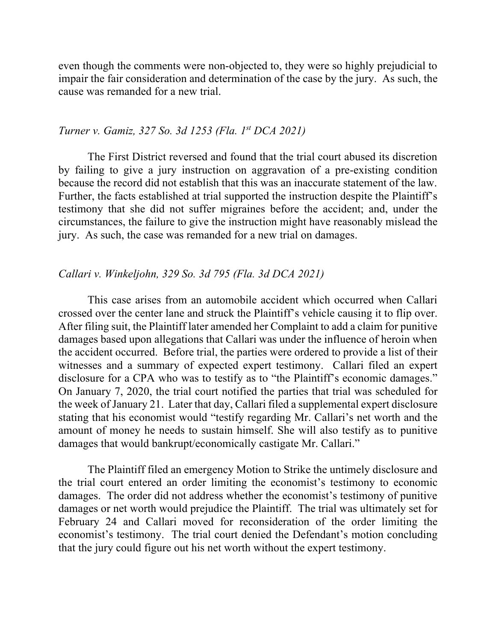even though the comments were non-objected to, they were so highly prejudicial to impair the fair consideration and determination of the case by the jury. As such, the cause was remanded for a new trial.

### *Turner v. Gamiz, 327 So. 3d 1253 (Fla. 1st DCA 2021)*

The First District reversed and found that the trial court abused its discretion by failing to give a jury instruction on aggravation of a pre-existing condition because the record did not establish that this was an inaccurate statement of the law. Further, the facts established at trial supported the instruction despite the Plaintiff's testimony that she did not suffer migraines before the accident; and, under the circumstances, the failure to give the instruction might have reasonably mislead the jury. As such, the case was remanded for a new trial on damages.

#### *Callari v. Winkeljohn, 329 So. 3d 795 (Fla. 3d DCA 2021)*

This case arises from an automobile accident which occurred when Callari crossed over the center lane and struck the Plaintiff's vehicle causing it to flip over. After filing suit, the Plaintiff later amended her Complaint to add a claim for punitive damages based upon allegations that Callari was under the influence of heroin when the accident occurred. Before trial, the parties were ordered to provide a list of their witnesses and a summary of expected expert testimony. Callari filed an expert disclosure for a CPA who was to testify as to "the Plaintiff's economic damages." On January 7, 2020, the trial court notified the parties that trial was scheduled for the week of January 21. Later that day, Callari filed a supplemental expert disclosure stating that his economist would "testify regarding Mr. Callari's net worth and the amount of money he needs to sustain himself. She will also testify as to punitive damages that would bankrupt/economically castigate Mr. Callari."

The Plaintiff filed an emergency Motion to Strike the untimely disclosure and the trial court entered an order limiting the economist's testimony to economic damages. The order did not address whether the economist's testimony of punitive damages or net worth would prejudice the Plaintiff. The trial was ultimately set for February 24 and Callari moved for reconsideration of the order limiting the economist's testimony. The trial court denied the Defendant's motion concluding that the jury could figure out his net worth without the expert testimony.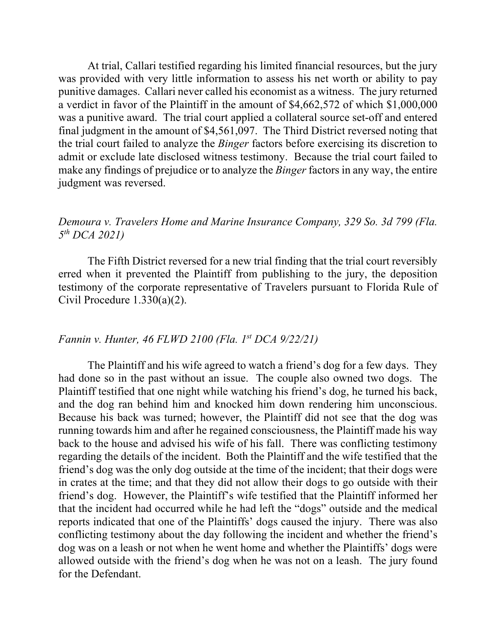At trial, Callari testified regarding his limited financial resources, but the jury was provided with very little information to assess his net worth or ability to pay punitive damages. Callari never called his economist as a witness. The jury returned a verdict in favor of the Plaintiff in the amount of \$4,662,572 of which \$1,000,000 was a punitive award. The trial court applied a collateral source set-off and entered final judgment in the amount of \$4,561,097. The Third District reversed noting that the trial court failed to analyze the *Binger* factors before exercising its discretion to admit or exclude late disclosed witness testimony. Because the trial court failed to make any findings of prejudice or to analyze the *Binger* factors in any way, the entire judgment was reversed.

## *Demoura v. Travelers Home and Marine Insurance Company, 329 So. 3d 799 (Fla. 5th DCA 2021)*

The Fifth District reversed for a new trial finding that the trial court reversibly erred when it prevented the Plaintiff from publishing to the jury, the deposition testimony of the corporate representative of Travelers pursuant to Florida Rule of Civil Procedure 1.330(a)(2).

## *Fannin v. Hunter, 46 FLWD 2100 (Fla. 1st DCA 9/22/21)*

The Plaintiff and his wife agreed to watch a friend's dog for a few days. They had done so in the past without an issue. The couple also owned two dogs. The Plaintiff testified that one night while watching his friend's dog, he turned his back, and the dog ran behind him and knocked him down rendering him unconscious. Because his back was turned; however, the Plaintiff did not see that the dog was running towards him and after he regained consciousness, the Plaintiff made his way back to the house and advised his wife of his fall. There was conflicting testimony regarding the details of the incident. Both the Plaintiff and the wife testified that the friend's dog was the only dog outside at the time of the incident; that their dogs were in crates at the time; and that they did not allow their dogs to go outside with their friend's dog. However, the Plaintiff's wife testified that the Plaintiff informed her that the incident had occurred while he had left the "dogs" outside and the medical reports indicated that one of the Plaintiffs' dogs caused the injury. There was also conflicting testimony about the day following the incident and whether the friend's dog was on a leash or not when he went home and whether the Plaintiffs' dogs were allowed outside with the friend's dog when he was not on a leash. The jury found for the Defendant.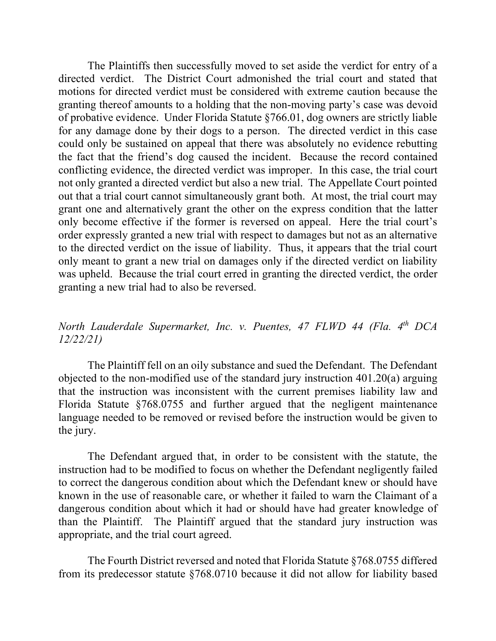The Plaintiffs then successfully moved to set aside the verdict for entry of a directed verdict. The District Court admonished the trial court and stated that motions for directed verdict must be considered with extreme caution because the granting thereof amounts to a holding that the non-moving party's case was devoid of probative evidence. Under Florida Statute §766.01, dog owners are strictly liable for any damage done by their dogs to a person. The directed verdict in this case could only be sustained on appeal that there was absolutely no evidence rebutting the fact that the friend's dog caused the incident. Because the record contained conflicting evidence, the directed verdict was improper. In this case, the trial court not only granted a directed verdict but also a new trial. The Appellate Court pointed out that a trial court cannot simultaneously grant both. At most, the trial court may grant one and alternatively grant the other on the express condition that the latter only become effective if the former is reversed on appeal. Here the trial court's order expressly granted a new trial with respect to damages but not as an alternative to the directed verdict on the issue of liability. Thus, it appears that the trial court only meant to grant a new trial on damages only if the directed verdict on liability was upheld. Because the trial court erred in granting the directed verdict, the order granting a new trial had to also be reversed.

# *North Lauderdale Supermarket, Inc. v. Puentes, 47 FLWD 44 (Fla. 4th DCA 12/22/21)*

The Plaintiff fell on an oily substance and sued the Defendant. The Defendant objected to the non-modified use of the standard jury instruction 401.20(a) arguing that the instruction was inconsistent with the current premises liability law and Florida Statute §768.0755 and further argued that the negligent maintenance language needed to be removed or revised before the instruction would be given to the jury.

The Defendant argued that, in order to be consistent with the statute, the instruction had to be modified to focus on whether the Defendant negligently failed to correct the dangerous condition about which the Defendant knew or should have known in the use of reasonable care, or whether it failed to warn the Claimant of a dangerous condition about which it had or should have had greater knowledge of than the Plaintiff. The Plaintiff argued that the standard jury instruction was appropriate, and the trial court agreed.

The Fourth District reversed and noted that Florida Statute §768.0755 differed from its predecessor statute §768.0710 because it did not allow for liability based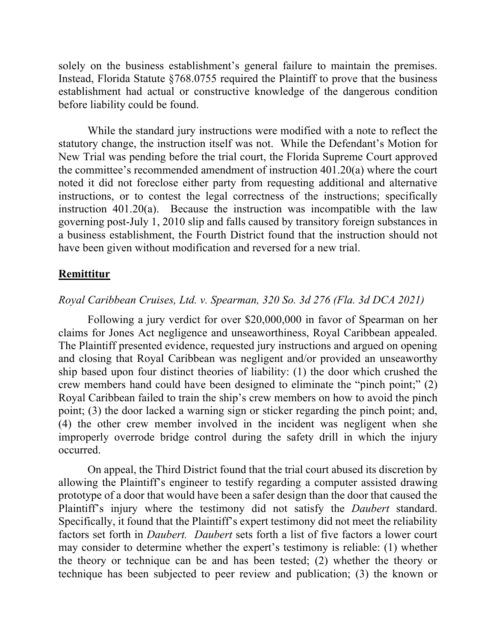solely on the business establishment's general failure to maintain the premises. Instead, Florida Statute §768.0755 required the Plaintiff to prove that the business establishment had actual or constructive knowledge of the dangerous condition before liability could be found.

While the standard jury instructions were modified with a note to reflect the statutory change, the instruction itself was not. While the Defendant's Motion for New Trial was pending before the trial court, the Florida Supreme Court approved the committee's recommended amendment of instruction 401.20(a) where the court noted it did not foreclose either party from requesting additional and alternative instructions, or to contest the legal correctness of the instructions; specifically instruction 401.20(a). Because the instruction was incompatible with the law governing post-July 1, 2010 slip and falls caused by transitory foreign substances in a business establishment, the Fourth District found that the instruction should not have been given without modification and reversed for a new trial.

### **Remittitur**

### *Royal Caribbean Cruises, Ltd. v. Spearman, 320 So. 3d 276 (Fla. 3d DCA 2021)*

Following a jury verdict for over \$20,000,000 in favor of Spearman on her claims for Jones Act negligence and unseaworthiness, Royal Caribbean appealed. The Plaintiff presented evidence, requested jury instructions and argued on opening and closing that Royal Caribbean was negligent and/or provided an unseaworthy ship based upon four distinct theories of liability: (1) the door which crushed the crew members hand could have been designed to eliminate the "pinch point;" (2) Royal Caribbean failed to train the ship's crew members on how to avoid the pinch point; (3) the door lacked a warning sign or sticker regarding the pinch point; and, (4) the other crew member involved in the incident was negligent when she improperly overrode bridge control during the safety drill in which the injury occurred.

On appeal, the Third District found that the trial court abused its discretion by allowing the Plaintiff's engineer to testify regarding a computer assisted drawing prototype of a door that would have been a safer design than the door that caused the Plaintiff's injury where the testimony did not satisfy the *Daubert* standard. Specifically, it found that the Plaintiff's expert testimony did not meet the reliability factors set forth in *Daubert. Daubert* sets forth a list of five factors a lower court may consider to determine whether the expert's testimony is reliable: (1) whether the theory or technique can be and has been tested; (2) whether the theory or technique has been subjected to peer review and publication; (3) the known or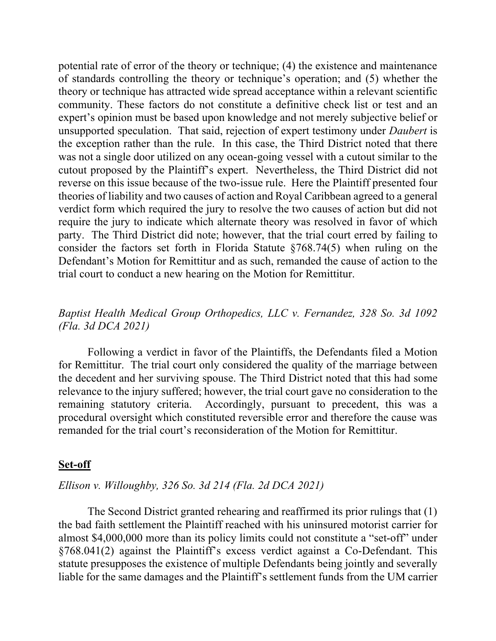potential rate of error of the theory or technique; (4) the existence and maintenance of standards controlling the theory or technique's operation; and (5) whether the theory or technique has attracted wide spread acceptance within a relevant scientific community. These factors do not constitute a definitive check list or test and an expert's opinion must be based upon knowledge and not merely subjective belief or unsupported speculation. That said, rejection of expert testimony under *Daubert* is the exception rather than the rule. In this case, the Third District noted that there was not a single door utilized on any ocean-going vessel with a cutout similar to the cutout proposed by the Plaintiff's expert. Nevertheless, the Third District did not reverse on this issue because of the two-issue rule. Here the Plaintiff presented four theories of liability and two causes of action and Royal Caribbean agreed to a general verdict form which required the jury to resolve the two causes of action but did not require the jury to indicate which alternate theory was resolved in favor of which party. The Third District did note; however, that the trial court erred by failing to consider the factors set forth in Florida Statute §768.74(5) when ruling on the Defendant's Motion for Remittitur and as such, remanded the cause of action to the trial court to conduct a new hearing on the Motion for Remittitur.

# *Baptist Health Medical Group Orthopedics, LLC v. Fernandez, 328 So. 3d 1092 (Fla. 3d DCA 2021)*

Following a verdict in favor of the Plaintiffs, the Defendants filed a Motion for Remittitur. The trial court only considered the quality of the marriage between the decedent and her surviving spouse. The Third District noted that this had some relevance to the injury suffered; however, the trial court gave no consideration to the remaining statutory criteria. Accordingly, pursuant to precedent, this was a procedural oversight which constituted reversible error and therefore the cause was remanded for the trial court's reconsideration of the Motion for Remittitur.

#### **Set-off**

### *Ellison v. Willoughby, 326 So. 3d 214 (Fla. 2d DCA 2021)*

The Second District granted rehearing and reaffirmed its prior rulings that (1) the bad faith settlement the Plaintiff reached with his uninsured motorist carrier for almost \$4,000,000 more than its policy limits could not constitute a "set-off" under §768.041(2) against the Plaintiff's excess verdict against a Co-Defendant. This statute presupposes the existence of multiple Defendants being jointly and severally liable for the same damages and the Plaintiff's settlement funds from the UM carrier